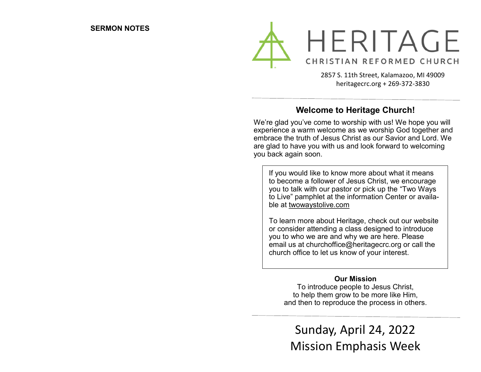

2857 S. 11th Street, Kalamazoo, MI 49009 heritagecrc.org + 269-372-3830

## **Welcome to Heritage Church!**

We're glad you've come to worship with us! We hope you will experience a warm welcome as we worship God together and embrace the truth of Jesus Christ as our Savior and Lord. We are glad to have you with us and look forward to welcoming you back again soon.

If you would like to know more about what it means to become a follower of Jesus Christ, we encourage you to talk with our pastor or pick up the "Two Ways to Live" pamphlet at the information Center or available at twowaystolive.com

To learn more about Heritage, check out our website or consider attending a class designed to introduce you to who we are and why we are here. Please email us at churchoffice@heritagecrc.org or call the church office to let us know of your interest.

#### **Our Mission**

To introduce people to Jesus Christ, to help them grow to be more like Him, and then to reproduce the process in others.

Sunday, April 24, 2022 Mission Emphasis Week